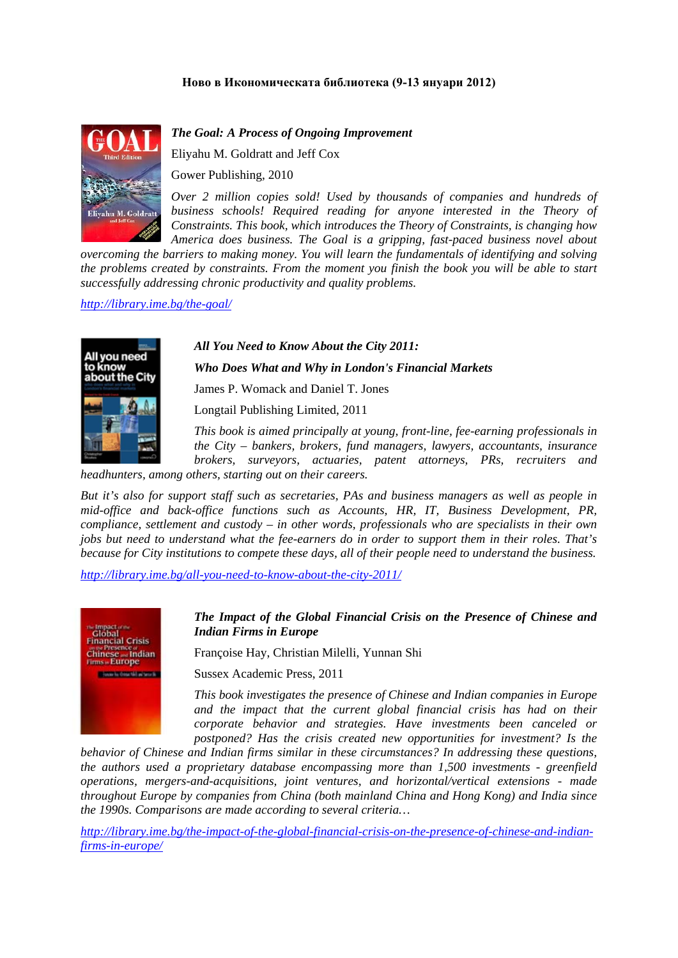# **Ново в Икономическата библиотека (9-13 януари 2012)**



All you need to know about the Cit *The Goal: A Process of Ongoing Improvement*

Eliyahu M. Goldratt and Jeff Cox

Gower Publishing, 2010

*Over 2 million copies sold! Used by thousands of companies and hundreds of business schools! Required reading for anyone interested in the Theory of Constraints. This book, which introduces the Theory of Constraints, is changing how America does business. The Goal is a gripping, fast-paced business novel about* 

*overcoming the barriers to making money. You will learn the fundamentals of identifying and solving the problems created by constraints. From the moment you finish the book you will be able to start successfully addressing chronic productivity and quality problems.* 

*http://library.ime.bg/the-goal/*

## *All You Need to Know About the City 2011:*

*Who Does What and Why in London's Financial Markets* 

James P. Womack and Daniel T. Jones

Longtail Publishing Limited, 2011

*This book is aimed principally at young, front-line, fee-earning professionals in the City – bankers, brokers, fund managers, lawyers, accountants, insurance brokers, surveyors, actuaries, patent attorneys, PRs, recruiters and* 

*headhunters, among others, starting out on their careers.* 

*But it's also for support staff such as secretaries, PAs and business managers as well as people in mid-office and back-office functions such as Accounts, HR, IT, Business Development, PR, compliance, settlement and custody – in other words, professionals who are specialists in their own jobs but need to understand what the fee-earners do in order to support them in their roles. That's because for City institutions to compete these days, all of their people need to understand the business.* 

*http://library.ime.bg/all-you-need-to-know-about-the-city-2011/*



## *The Impact of the Global Financial Crisis on the Presence of Chinese and Indian Firms in Europe*

Françoise Hay, Christian Milelli, Yunnan Shi

Sussex Academic Press, 2011

*This book investigates the presence of Chinese and Indian companies in Europe and the impact that the current global financial crisis has had on their corporate behavior and strategies. Have investments been canceled or postponed? Has the crisis created new opportunities for investment? Is the* 

*behavior of Chinese and Indian firms similar in these circumstances? In addressing these questions, the authors used a proprietary database encompassing more than 1,500 investments - greenfield operations, mergers-and-acquisitions, joint ventures, and horizontal/vertical extensions - made throughout Europe by companies from China (both mainland China and Hong Kong) and India since the 1990s. Comparisons are made according to several criteria…* 

*http://library.ime.bg/the-impact-of-the-global-financial-crisis-on-the-presence-of-chinese-and-indianfirms-in-europe/*